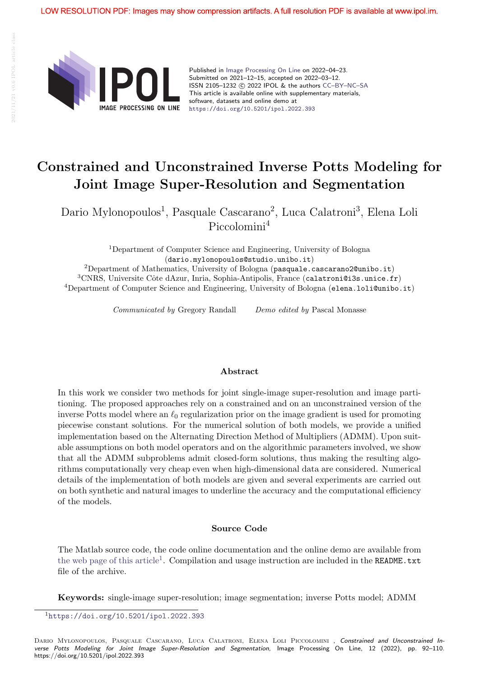

Published in Image Processing On Line on 2022–04–23. Submitted on 2021–12–15, accepted on 2022–03–12. ISSN 2105-1232 (c) 2022 IPOL & the authors CC-BY-NC-SA This article is available online with supplementary materials, software, datasets and online demo at https://doi.org/10.5201/ipol.2022.393

# Constrained and Unconstrained Inverse Potts Modeling for Joint Image Super-Resolution and Segmentation

Dario Mylonopoulos<sup>1</sup>, Pasquale Cascarano<sup>2</sup>, Luca Calatroni<sup>3</sup>, Elena Loli Piccolomini<sup>4</sup>

> <sup>1</sup>Department of Computer Science and Engineering, University of Bologna (dario.mylonopoulos@studio.unibo.it)

<sup>2</sup>Department of Mathematics, University of Bologna (pasquale.cascarano2@unibo.it)  $3$ CNRS, Universite Côte dAzur, Inria, Sophia-Antipolis, France (calatroni@i3s.unice.fr) <sup>4</sup>Department of Computer Science and Engineering, University of Bologna (elena.loli@unibo.it)

Communicated by Gregory Randall Demo edited by Pascal Monasse

#### Abstract

In this work we consider two methods for joint single-image super-resolution and image partitioning. The proposed approaches rely on a constrained and on an unconstrained version of the inverse Potts model where an  $\ell_0$  regularization prior on the image gradient is used for promoting piecewise constant solutions. For the numerical solution of both models, we provide a unified implementation based on the Alternating Direction Method of Multipliers (ADMM). Upon suitable assumptions on both model operators and on the algorithmic parameters involved, we show that all the ADMM subproblems admit closed-form solutions, thus making the resulting algorithms computationally very cheap even when high-dimensional data are considered. Numerical details of the implementation of both models are given and several experiments are carried out on both synthetic and natural images to underline the accuracy and the computational efficiency of the models.

### Source Code

The Matlab source code, the code online documentation and the online demo are available from the web page of this article<sup>1</sup>. Compilation and usage instruction are included in the **README**.txt file of the archive.

Keywords: single-image super-resolution; image segmentation; inverse Potts model; ADMM

<sup>1</sup>https://doi.org/10.5201/ipol.2022.393

DARIO MYLONOPOULOS, PASQUALE CASCARANO, LUCA CALATRONI, ELENA LOLI PICCOLOMINI, Constrained and Unconstrained Inverse Potts Modeling for Joint Image Super-Resolution and Segmentation, Image Processing On Line, 12 (2022), pp. 92–110. https://doi.org/10.5201/ipol.2022.393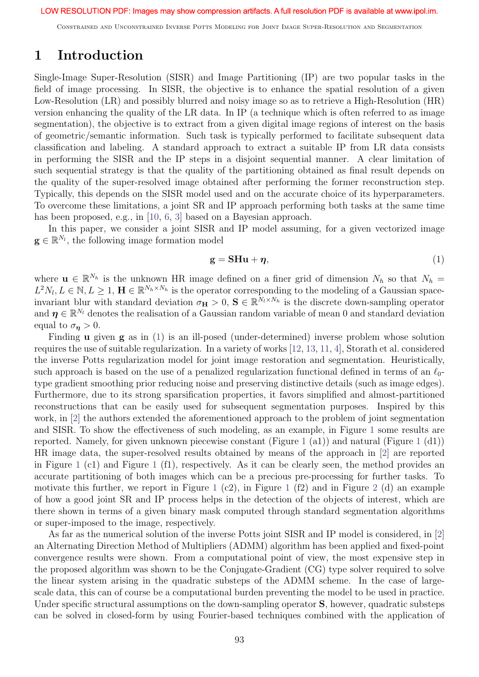Constrained and Unconstrained Inverse Potts Modeling for Joint Image Super-Resolution and Segmentation

# 1 Introduction

Single-Image Super-Resolution (SISR) and Image Partitioning (IP) are two popular tasks in the field of image processing. In SISR, the objective is to enhance the spatial resolution of a given Low-Resolution (LR) and possibly blurred and noisy image so as to retrieve a High-Resolution (HR) version enhancing the quality of the LR data. In IP (a technique which is often referred to as image segmentation), the objective is to extract from a given digital image regions of interest on the basis of geometric/semantic information. Such task is typically performed to facilitate subsequent data classification and labeling. A standard approach to extract a suitable IP from LR data consists in performing the SISR and the IP steps in a disjoint sequential manner. A clear limitation of such sequential strategy is that the quality of the partitioning obtained as final result depends on the quality of the super-resolved image obtained after performing the former reconstruction step. Typically, this depends on the SISR model used and on the accurate choice of its hyperparameters. To overcome these limitations, a joint SR and IP approach performing both tasks at the same time has been proposed, e.g., in [10, 6, 3] based on a Bayesian approach.

In this paper, we consider a joint SISR and IP model assuming, for a given vectorized image  $\mathbf{g} \in \mathbb{R}^{N_l}$ , the following image formation model

$$
\mathbf{g} = \mathbf{S} \mathbf{H} \mathbf{u} + \boldsymbol{\eta},\tag{1}
$$

where  $\mathbf{u} \in \mathbb{R}^{N_h}$  is the unknown HR image defined on a finer grid of dimension  $N_h$  so that  $N_h =$  $L^2N_l, L \in \mathbb{N}, L \geq 1, \mathbf{H} \in \mathbb{R}^{N_h \times N_h}$  is the operator corresponding to the modeling of a Gaussian spaceinvariant blur with standard deviation  $\sigma_{\mathbf{H}} > 0$ ,  $\mathbf{S} \in \mathbb{R}^{N_l \times N_h}$  is the discrete down-sampling operator and  $\boldsymbol{\eta} \in \mathbb{R}^{N_l}$  denotes the realisation of a Gaussian random variable of mean 0 and standard deviation equal to  $\sigma_{\eta} > 0$ .

Finding u given g as in (1) is an ill-posed (under-determined) inverse problem whose solution requires the use of suitable regularization. In a variety of works [12, 13, 11, 4], Storath et al. considered the inverse Potts regularization model for joint image restoration and segmentation. Heuristically, such approach is based on the use of a penalized regularization functional defined in terms of an  $\ell_0$ type gradient smoothing prior reducing noise and preserving distinctive details (such as image edges). Furthermore, due to its strong sparsification properties, it favors simplified and almost-partitioned reconstructions that can be easily used for subsequent segmentation purposes. Inspired by this work, in [2] the authors extended the aforementioned approach to the problem of joint segmentation and SISR. To show the effectiveness of such modeling, as an example, in Figure 1 some results are reported. Namely, for given unknown piecewise constant (Figure 1 (a1)) and natural (Figure 1 (d1)) HR image data, the super-resolved results obtained by means of the approach in [2] are reported in Figure 1 (c1) and Figure 1 (f1), respectively. As it can be clearly seen, the method provides an accurate partitioning of both images which can be a precious pre-processing for further tasks. To motivate this further, we report in Figure 1 (c2), in Figure 1 (f2) and in Figure 2 (d) an example of how a good joint SR and IP process helps in the detection of the objects of interest, which are there shown in terms of a given binary mask computed through standard segmentation algorithms or super-imposed to the image, respectively.

As far as the numerical solution of the inverse Potts joint SISR and IP model is considered, in [2] an Alternating Direction Method of Multipliers (ADMM) algorithm has been applied and fixed-point convergence results were shown. From a computational point of view, the most expensive step in the proposed algorithm was shown to be the Conjugate-Gradient (CG) type solver required to solve the linear system arising in the quadratic substeps of the ADMM scheme. In the case of largescale data, this can of course be a computational burden preventing the model to be used in practice. Under specific structural assumptions on the down-sampling operator **S**, however, quadratic substeps can be solved in closed-form by using Fourier-based techniques combined with the application of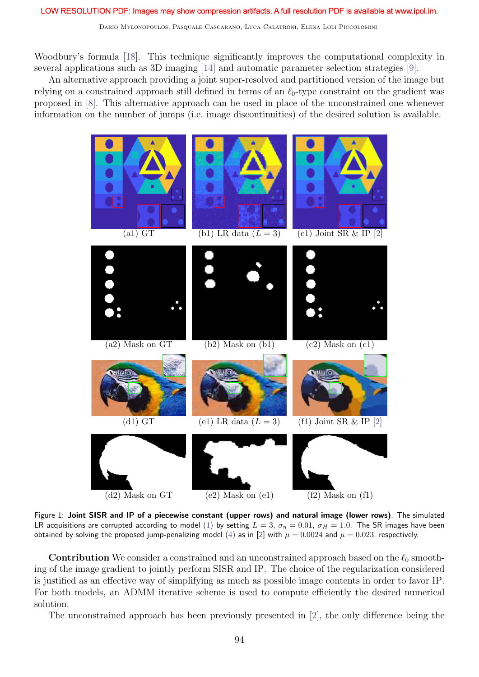Woodbury's formula [18]. This technique significantly improves the computational complexity in several applications such as 3D imaging [14] and automatic parameter selection strategies [9].

An alternative approach providing a joint super-resolved and partitioned version of the image but relying on a constrained approach still defined in terms of an  $\ell_0$ -type constraint on the gradient was proposed in [8]. This alternative approach can be used in place of the unconstrained one whenever information on the number of jumps (i.e. image discontinuities) of the desired solution is available.



Figure 1: Joint SISR and IP of a piecewise constant (upper rows) and natural image (lower rows). The simulated LR acquisitions are corrupted according to model (1) by setting  $L = 3$ ,  $\sigma_n = 0.01$ ,  $\sigma_H = 1.0$ . The SR images have been obtained by solving the proposed jump-penalizing model (4) as in [2] with  $\mu = 0.0024$  and  $\mu = 0.023$ , respectively.

**Contribution** We consider a constrained and an unconstrained approach based on the  $\ell_0$  smoothing of the image gradient to jointly perform SISR and IP. The choice of the regularization considered is justified as an effective way of simplifying as much as possible image contents in order to favor IP. For both models, an ADMM iterative scheme is used to compute efficiently the desired numerical solution.

The unconstrained approach has been previously presented in [2], the only difference being the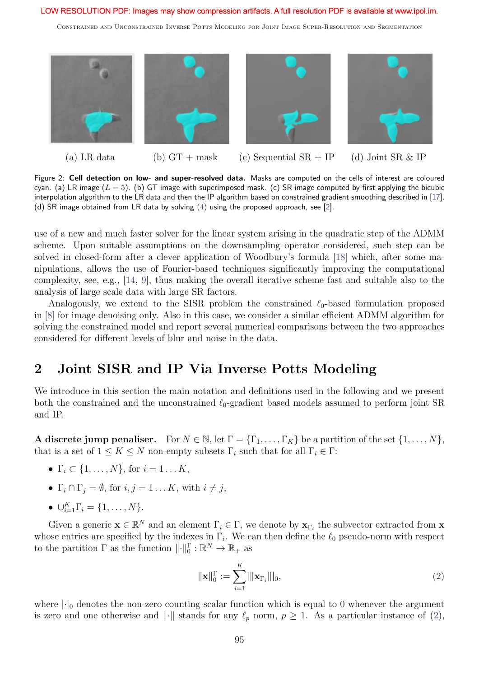Constrained and Unconstrained Inverse Potts Modeling for Joint Image Super-Resolution and Segmentation



(a) LR data (b)  $GT + mask$  (c) Sequential  $SR + IP$  (d) Joint  $SR & IP$ 

Figure 2: Cell detection on low- and super-resolved data. Masks are computed on the cells of interest are coloured cyan. (a) LR image  $(L = 5)$ . (b) GT image with superimposed mask. (c) SR image computed by first applying the bicubic interpolation algorithm to the LR data and then the IP algorithm based on constrained gradient smoothing described in [17]. (d) SR image obtained from LR data by solving  $(4)$  using the proposed approach, see [2].

use of a new and much faster solver for the linear system arising in the quadratic step of the ADMM scheme. Upon suitable assumptions on the downsampling operator considered, such step can be solved in closed-form after a clever application of Woodbury's formula [18] which, after some manipulations, allows the use of Fourier-based techniques significantly improving the computational complexity, see, e.g., [14, 9], thus making the overall iterative scheme fast and suitable also to the analysis of large scale data with large SR factors.

Analogously, we extend to the SISR problem the constrained  $\ell_0$ -based formulation proposed in [8] for image denoising only. Also in this case, we consider a similar efficient ADMM algorithm for solving the constrained model and report several numerical comparisons between the two approaches considered for different levels of blur and noise in the data.

# 2 Joint SISR and IP Via Inverse Potts Modeling

We introduce in this section the main notation and definitions used in the following and we present both the constrained and the unconstrained  $\ell_0$ -gradient based models assumed to perform joint SR and IP.

A discrete jump penaliser. For  $N \in \mathbb{N}$ , let  $\Gamma = {\Gamma_1, \ldots, \Gamma_K}$  be a partition of the set  $\{1, \ldots, N\}$ , that is a set of  $1 \leq K \leq N$  non-empty subsets  $\Gamma_i$  such that for all  $\Gamma_i \in \Gamma$ :

- $\Gamma_i \subset \{1,\ldots,N\}$ , for  $i=1 \ldots K$ ,
- $\Gamma_i \cap \Gamma_j = \emptyset$ , for  $i, j = 1 \dots K$ , with  $i \neq j$ ,
- $\cup_{i=1}^K \Gamma_i = \{1, \ldots, N\}.$

Given a generic  $\mathbf{x} \in \mathbb{R}^N$  and an element  $\Gamma_i \in \Gamma$ , we denote by  $\mathbf{x}_{\Gamma_i}$  the subvector extracted from  $\mathbf{x}$ whose entries are specified by the indexes in  $\Gamma_i$ . We can then define the  $\ell_0$  pseudo-norm with respect to the partition  $\Gamma$  as the function  $\|\cdot\|_0^{\Gamma} : \mathbb{R}^N \to \mathbb{R}_+$  as

$$
\|\mathbf{x}\|_{0}^{\Gamma} := \sum_{i=1}^{K} ||\mathbf{x}_{\Gamma_{i}}|||_{0},
$$
\n(2)

where  $|\cdot|_0$  denotes the non-zero counting scalar function which is equal to 0 whenever the argument is zero and one otherwise and  $\|\cdot\|$  stands for any  $\ell_p$  norm,  $p \geq 1$ . As a particular instance of (2),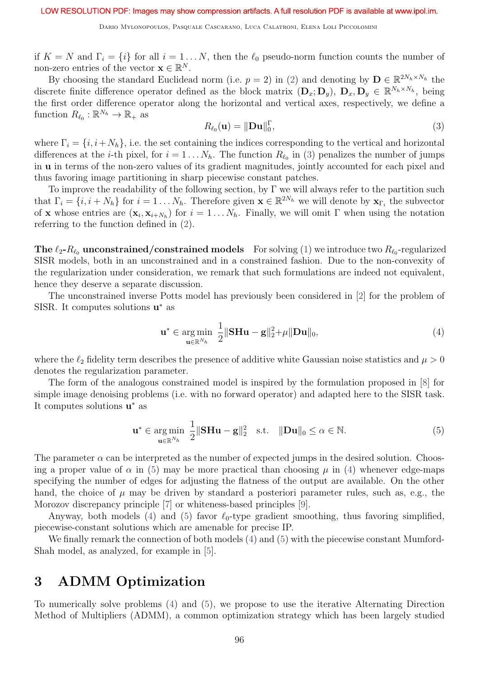if  $K = N$  and  $\Gamma_i = \{i\}$  for all  $i = 1...N$ , then the  $\ell_0$  pseudo-norm function counts the number of non-zero entries of the vector  $\mathbf{x} \in \mathbb{R}^N$ .

By choosing the standard Euclidead norm (i.e.  $p = 2$ ) in (2) and denoting by  $\mathbf{D} \in \mathbb{R}^{2N_h \times N_h}$  the discrete finite difference operator defined as the block matrix  $(D_x; D_y)$ ,  $D_x, D_y \in \mathbb{R}^{N_h \times N_h}$ , being the first order difference operator along the horizontal and vertical axes, respectively, we define a function  $R_{\ell_0}: \mathbb{R}^{N_h} \to \mathbb{R}_+$  as

$$
R_{\ell_0}(\mathbf{u}) = \|\mathbf{D}\mathbf{u}\|_0^{\Gamma},\tag{3}
$$

where  $\Gamma_i = \{i, i+N_h\}$ , i.e. the set containing the indices corresponding to the vertical and horizontal differences at the *i*-th pixel, for  $i = 1 \ldots N_h$ . The function  $R_{\ell_0}$  in (3) penalizes the number of jumps in u in terms of the non-zero values of its gradient magnitudes, jointly accounted for each pixel and thus favoring image partitioning in sharp piecewise constant patches.

To improve the readability of the following section, by  $\Gamma$  we will always refer to the partition such that  $\Gamma_i = \{i, i + N_h\}$  for  $i = 1 \dots N_h$ . Therefore given  $\mathbf{x} \in \mathbb{R}^{2N_h}$  we will denote by  $\mathbf{x}_{\Gamma_i}$  the subvector of **x** whose entries are  $(\mathbf{x}_i, \mathbf{x}_{i+N_h})$  for  $i = 1...N_h$ . Finally, we will omit  $\Gamma$  when using the notation referring to the function defined in (2).

The  $\ell_2$ - $R_{\ell_0}$  unconstrained/constrained models For solving (1) we introduce two  $R_{\ell_0}$ -regularized SISR models, both in an unconstrained and in a constrained fashion. Due to the non-convexity of the regularization under consideration, we remark that such formulations are indeed not equivalent, hence they deserve a separate discussion.

The unconstrained inverse Potts model has previously been considered in [2] for the problem of SISR. It computes solutions  $\mathbf{u}^*$  as

$$
\mathbf{u}^* \in \underset{\mathbf{u} \in \mathbb{R}^{N_h}}{\arg \min} \ \frac{1}{2} \|\mathbf{S} \mathbf{H} \mathbf{u} - \mathbf{g}\|_2^2 + \mu \|\mathbf{D} \mathbf{u}\|_0,\tag{4}
$$

where the  $\ell_2$  fidelity term describes the presence of additive white Gaussian noise statistics and  $\mu > 0$ denotes the regularization parameter.

The form of the analogous constrained model is inspired by the formulation proposed in [8] for simple image denoising problems (i.e. with no forward operator) and adapted here to the SISR task. It computes solutions  $\mathbf{u}^*$  as

$$
\mathbf{u}^* \in \underset{\mathbf{u} \in \mathbb{R}^{N_h}}{\arg \min} \ \frac{1}{2} \|\mathbf{S} \mathbf{H} \mathbf{u} - \mathbf{g}\|_2^2 \quad \text{s.t.} \quad \|\mathbf{D} \mathbf{u}\|_0 \le \alpha \in \mathbb{N}. \tag{5}
$$

The parameter  $\alpha$  can be interpreted as the number of expected jumps in the desired solution. Choosing a proper value of  $\alpha$  in (5) may be more practical than choosing  $\mu$  in (4) whenever edge-maps specifying the number of edges for adjusting the flatness of the output are available. On the other hand, the choice of  $\mu$  may be driven by standard a posteriori parameter rules, such as, e.g., the Morozov discrepancy principle [7] or whiteness-based principles [9].

Anyway, both models (4) and (5) favor  $\ell_0$ -type gradient smoothing, thus favoring simplified, piecewise-constant solutions which are amenable for precise IP.

We finally remark the connection of both models  $(4)$  and  $(5)$  with the piecewise constant Mumford-Shah model, as analyzed, for example in [5].

## 3 ADMM Optimization

To numerically solve problems (4) and (5), we propose to use the iterative Alternating Direction Method of Multipliers (ADMM), a common optimization strategy which has been largely studied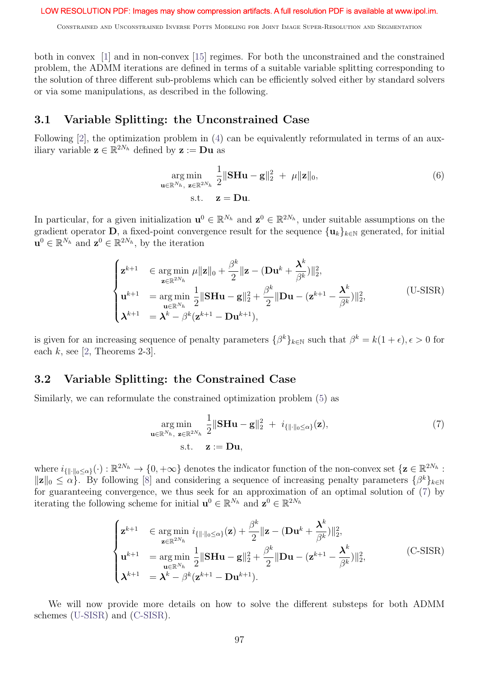Constrained and Unconstrained Inverse Potts Modeling for Joint Image Super-Resolution and Segmentation

both in convex [1] and in non-convex [15] regimes. For both the unconstrained and the constrained problem, the ADMM iterations are defined in terms of a suitable variable splitting corresponding to the solution of three different sub-problems which can be efficiently solved either by standard solvers or via some manipulations, as described in the following.

### 3.1 Variable Splitting: the Unconstrained Case

Following [2], the optimization problem in (4) can be equivalently reformulated in terms of an auxiliary variable  $\mathbf{z} \in \mathbb{R}^{2N_h}$  defined by  $\mathbf{z} := \mathbf{D}\mathbf{u}$  as

$$
\underset{\mathbf{u}\in\mathbb{R}^{N_h},\ \mathbf{z}\in\mathbb{R}^{2N_h}}{\arg\min} \frac{1}{2} \|\mathbf{SHu} - \mathbf{g}\|_2^2 + \mu \|\mathbf{z}\|_0,\tag{6}
$$
\n
$$
\text{s.t.}\quad \mathbf{z} = \mathbf{Du}.
$$

In particular, for a given initialization  $\mathbf{u}^0 \in \mathbb{R}^{N_h}$  and  $\mathbf{z}^0 \in \mathbb{R}^{2N_h}$ , under suitable assumptions on the gradient operator  $\overline{\mathbf{D}}$ , a fixed-point convergence result for the sequence  $\{\mathbf{u}_k\}_{k\in\mathbb{N}}$  generated, for initial  $\mathbf{u}^0 \in \mathbb{R}^{N_h}$  and  $\mathbf{z}^0 \in \mathbb{R}^{2N_h}$ , by the iteration

$$
\begin{cases}\n\mathbf{z}^{k+1} & \in \underset{\mathbf{z} \in \mathbb{R}^{2N_h}}{\arg \min} \ \mu \|\mathbf{z}\|_0 + \frac{\beta^k}{2} \|\mathbf{z} - (\mathbf{D}\mathbf{u}^k + \frac{\mathbf{\lambda}^k}{\beta^k})\|_2^2, \\
\mathbf{u}^{k+1} & = \underset{\mathbf{u} \in \mathbb{R}^{N_h}}{\arg \min} \ \frac{1}{2} \|\mathbf{S}\mathbf{H}\mathbf{u} - \mathbf{g}\|_2^2 + \frac{\beta^k}{2} \|\mathbf{D}\mathbf{u} - (\mathbf{z}^{k+1} - \frac{\mathbf{\lambda}^k}{\beta^k})\|_2^2, \\
\mathbf{\lambda}^{k+1} & = \mathbf{\lambda}^k - \beta^k (\mathbf{z}^{k+1} - \mathbf{D}\mathbf{u}^{k+1}),\n\end{cases} \tag{U-SISR}
$$

is given for an increasing sequence of penalty parameters  $\{\beta^k\}_{k\in\mathbb{N}}$  such that  $\beta^k = k(1+\epsilon), \epsilon > 0$  for each  $k$ , see [2, Theorems 2-3].

### 3.2 Variable Splitting: the Constrained Case

Similarly, we can reformulate the constrained optimization problem (5) as

$$
\underset{\mathbf{u}\in\mathbb{R}^{N_h},\ \mathbf{z}\in\mathbb{R}^{2N_h}}{\arg\min} \frac{1}{2} \|\mathbf{SHu} - \mathbf{g}\|_2^2 + i_{\{\|\cdot\|_0\leq\alpha\}}(\mathbf{z}),
$$
\n
$$
\text{s.t.} \quad \mathbf{z} := \mathbf{Du},
$$
\n(7)

where  $i_{\{\|\cdot\|_0\leq \alpha\}}(\cdot): \mathbb{R}^{2N_h} \to \{0, +\infty\}$  denotes the indicator function of the non-convex set  $\{\mathbf{z} \in \mathbb{R}^{2N_h}$ :  $||\mathbf{z}||_0 \leq \alpha$ . By following [8] and considering a sequence of increasing penalty parameters  $\{\beta^k\}_{k\in\mathbb{N}}$ for guaranteeing convergence, we thus seek for an approximation of an optimal solution of (7) by iterating the following scheme for initial  $\mathbf{u}^0 \in \mathbb{R}^{N_h}$  and  $\mathbf{z}^0 \in \mathbb{R}^{2N_h}$ 

$$
\begin{cases}\n\mathbf{z}^{k+1} & \in \underset{\mathbf{z} \in \mathbb{R}^{2N_h}}{\arg \min} i_{\{\|\cdot\|_0 \leq \alpha\}}(\mathbf{z}) + \frac{\beta^k}{2} \|\mathbf{z} - (\mathbf{D}\mathbf{u}^k + \frac{\mathbf{\lambda}^k}{\beta^k})\|_2^2, \\
\mathbf{u}^{k+1} & = \underset{\mathbf{u} \in \mathbb{R}^{N_h}}{\arg \min} \frac{1}{2} \|\mathbf{S}\mathbf{H}\mathbf{u} - \mathbf{g}\|_2^2 + \frac{\beta^k}{2} \|\mathbf{D}\mathbf{u} - (\mathbf{z}^{k+1} - \frac{\mathbf{\lambda}^k}{\beta^k})\|_2^2, \\
\mathbf{\lambda}^{k+1} & = \mathbf{\lambda}^k - \beta^k (\mathbf{z}^{k+1} - \mathbf{D}\mathbf{u}^{k+1}).\n\end{cases} \tag{C-SISR}
$$

We will now provide more details on how to solve the different substeps for both ADMM schemes (U-SISR) and (C-SISR).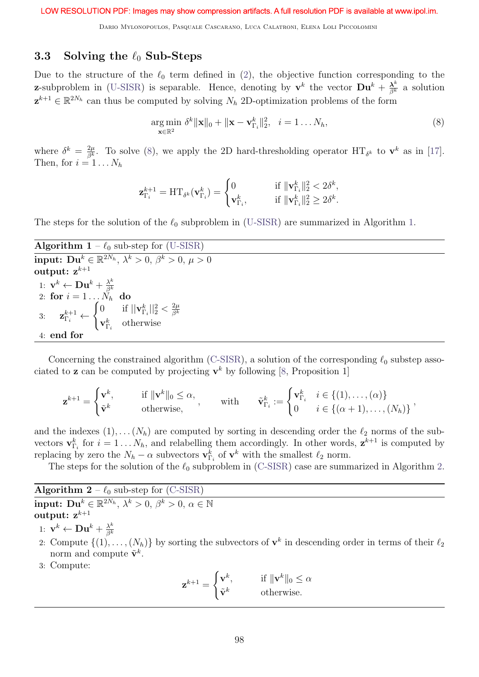Dario Mylonopoulos, Pasquale Cascarano, Luca Calatroni, Elena Loli Piccolomini

## 3.3 Solving the  $\ell_0$  Sub-Steps

Due to the structure of the  $\ell_0$  term defined in (2), the objective function corresponding to the **z**-subproblem in (U-SISR) is separable. Hence, denoting by  $\mathbf{v}^k$  the vector  $\mathbf{D}\mathbf{u}^k + \frac{\lambda^k}{\beta^k}$  a solution  $\mathbf{z}^{k+1} \in \mathbb{R}^{2N_h}$  can thus be computed by solving  $N_h$  2D-optimization problems of the form

$$
\underset{\mathbf{x}\in\mathbb{R}^2}{\arg\min} \ \delta^k \|\mathbf{x}\|_0 + \|\mathbf{x} - \mathbf{v}_{\Gamma_i}^k\|_2^2, \ \ i = 1 \dots N_h,\tag{8}
$$

where  $\delta^k = \frac{2\mu}{\beta^k}$ . To solve (8), we apply the 2D hard-thresholding operator  $\text{HT}_{\delta^k}$  to  $\mathbf{v}^k$  as in [17]. Then, for  $i = 1 \ldots N_h$ 

$$
\mathbf{z}_{\Gamma_i}^{k+1} = \mathrm{HT}_{\delta^k}(\mathbf{v}_{\Gamma_i}^k) = \begin{cases} 0 & \text{if } \|\mathbf{v}_{\Gamma_i}^k\|_2^2 < 2\delta^k, \\ \mathbf{v}_{\Gamma_i}^k, & \text{if } \|\mathbf{v}_{\Gamma_i}^k\|_2^2 \ge 2\delta^k. \end{cases}
$$

The steps for the solution of the  $\ell_0$  subproblem in (U-SISR) are summarized in Algorithm 1.

| <b>Algorithm 1</b> – $\ell_0$ sub-step for (U-SISR)                                                                                                                                           |
|-----------------------------------------------------------------------------------------------------------------------------------------------------------------------------------------------|
| <b>input:</b> $\mathbf{D} \mathbf{u}^k \in \mathbb{R}^{2N_h}, \ \lambda^k > 0, \ \beta^k > 0, \ \mu > 0$                                                                                      |
| output: $z^{k+1}$                                                                                                                                                                             |
| 1: $\mathbf{v}^k \leftarrow \mathbf{D}\mathbf{u}^k + \frac{\lambda^k}{\beta^k}$<br>2: for $i = 1 \dots N_h$ do                                                                                |
|                                                                                                                                                                                               |
| 3: $\mathbf{z}_{\Gamma_i}^{k+1} \leftarrow \begin{cases} 0 & \text{if }   \mathbf{v}_{\Gamma_i}^{k}  _2^2 < \frac{2\mu}{\beta^k} \\ \mathbf{v}_{\Gamma_i}^{k} & \text{otherwise} \end{cases}$ |
|                                                                                                                                                                                               |
| 4: end for                                                                                                                                                                                    |

Concerning the constrained algorithm (C-SISR), a solution of the corresponding  $\ell_0$  substep associated to **z** can be computed by projecting  $\mathbf{v}^k$  by following [8, Proposition 1]

$$
\mathbf{z}^{k+1} = \begin{cases} \mathbf{v}^k, & \text{if } \|\mathbf{v}^k\|_0 \leq \alpha, \\ \tilde{\mathbf{v}}^k & \text{otherwise,} \end{cases} \quad \text{with} \quad \tilde{\mathbf{v}}^k_{\Gamma_i} := \begin{cases} \mathbf{v}^k_{\Gamma_i} & i \in \{(1), \dots, (\alpha)\} \\ 0 & i \in \{(\alpha+1), \dots, (N_h)\} \end{cases} \,,
$$

and the indexes  $(1), \ldots (N_h)$  are computed by sorting in descending order the  $\ell_2$  norms of the subvectors  $\mathbf{v}_{\Gamma_i}^k$  for  $i = 1...N_h$ , and relabelling them accordingly. In other words,  $\mathbf{z}^{k+1}$  is computed by replacing by zero the  $N_h - \alpha$  subvectors  $\mathbf{v}_{\Gamma_i}^k$  of  $\mathbf{v}^k$  with the smallest  $\ell_2$  norm.

The steps for the solution of the  $\ell_0$  subproblem in (C-SISR) case are summarized in Algorithm 2.

Algorithm  $2 - \ell_0$  sub-step for (C-SISR)  $\textbf{input:}\ \textbf{Du}^k \in \mathbb{R}^{2N_h},\ \lambda^k>0,\ \beta^k>0,\ \alpha\in\mathbb{N}$ output:  $z^{k+1}$ 

1: 
$$
\mathbf{v}^k \leftarrow \mathbf{D}\mathbf{u}^k + \frac{\lambda^k}{\beta^k}
$$

- 2: Compute  $\{(1), \ldots, (N_h)\}\$ by sorting the subvectors of  $\mathbf{v}^k$  in descending order in terms of their  $\ell_2$ norm and compute  $\tilde{\mathbf{v}}^k$ .
- 3: Compute:

$$
\mathbf{z}^{k+1} = \begin{cases} \mathbf{v}^k, & \text{if } \|\mathbf{v}^k\|_0 \le \alpha \\ \tilde{\mathbf{v}}^k & \text{otherwise.} \end{cases}
$$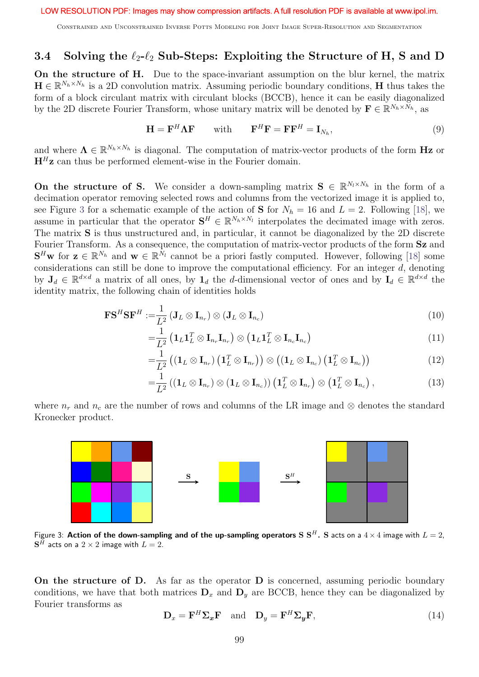Constrained and Unconstrained Inverse Potts Modeling for Joint Image Super-Resolution and Segmentation

## 3.4 Solving the  $\ell_2-\ell_2$  Sub-Steps: Exploiting the Structure of H, S and D

On the structure of H. Due to the space-invariant assumption on the blur kernel, the matrix  $\mathbf{H} \in \mathbb{R}^{N_h \times N_h}$  is a 2D convolution matrix. Assuming periodic boundary conditions, H thus takes the form of a block circulant matrix with circulant blocks (BCCB), hence it can be easily diagonalized by the 2D discrete Fourier Transform, whose unitary matrix will be denoted by  $\mathbf{F} \in \mathbb{R}^{N_h \times N_h}$ , as

$$
\mathbf{H} = \mathbf{F}^H \mathbf{\Lambda} \mathbf{F} \qquad \text{with} \qquad \mathbf{F}^H \mathbf{F} = \mathbf{F} \mathbf{F}^H = \mathbf{I}_{N_h}, \tag{9}
$$

and where  $\Lambda \in \mathbb{R}^{N_h \times N_h}$  is diagonal. The computation of matrix-vector products of the form Hz or  $H<sup>H</sup>z$  can thus be performed element-wise in the Fourier domain.

On the structure of S. We consider a down-sampling matrix  $S \in \mathbb{R}^{N_l \times N_h}$  in the form of a decimation operator removing selected rows and columns from the vectorized image it is applied to, see Figure 3 for a schematic example of the action of **S** for  $N_h = 16$  and  $L = 2$ . Following [18], we assume in particular that the operator  $S^H \in \mathbb{R}^{N_h \times N_l}$  interpolates the decimated image with zeros. The matrix S is thus unstructured and, in particular, it cannot be diagonalized by the 2D discrete Fourier Transform. As a consequence, the computation of matrix-vector products of the form  $Sz$  and  $S^H$ w for  $z \in \mathbb{R}^{N_h}$  and  $w \in \mathbb{R}^{N_l}$  cannot be a priori fastly computed. However, following [18] some considerations can still be done to improve the computational efficiency. For an integer  $d$ , denoting by  $J_d \in \mathbb{R}^{d \times d}$  a matrix of all ones, by  $\mathbf{1}_d$  the d-dimensional vector of ones and by  $\mathbf{I}_d \in \mathbb{R}^{d \times d}$  the identity matrix, the following chain of identities holds

$$
\mathbf{FS}^H \mathbf{SF}^H := \frac{1}{L^2} \left( \mathbf{J}_L \otimes \mathbf{I}_{n_r} \right) \otimes \left( \mathbf{J}_L \otimes \mathbf{I}_{n_c} \right) \tag{10}
$$

$$
=\frac{1}{L^2}\left(\mathbf{1}_L\mathbf{1}_L^T\otimes \mathbf{I}_{n_r}\mathbf{I}_{n_r}\right)\otimes\left(\mathbf{1}_L\mathbf{1}_L^T\otimes \mathbf{I}_{n_c}\mathbf{I}_{n_c}\right)
$$
\n(11)

$$
=\frac{1}{L^2}\left((\mathbf{1}_L\otimes \mathbf{I}_{n_r})\left(\mathbf{1}_L^T\otimes \mathbf{I}_{n_r}\right)\right)\otimes \left((\mathbf{1}_L\otimes \mathbf{I}_{n_c})\left(\mathbf{1}_L^T\otimes \mathbf{I}_{n_c}\right)\right)
$$
(12)

$$
=\frac{1}{L^2}((\mathbf{1}_L\otimes \mathbf{I}_{n_r})\otimes (\mathbf{1}_L\otimes \mathbf{I}_{n_c}))(\mathbf{1}_L^T\otimes \mathbf{I}_{n_r})\otimes (\mathbf{1}_L^T\otimes \mathbf{I}_{n_c}),
$$
\n(13)

where  $n_r$  and  $n_c$  are the number of rows and columns of the LR image and ⊗ denotes the standard Kronecker product.



Figure 3: Action of the down-sampling and of the up-sampling operators S  $S^H$ . S acts on a  $4 \times 4$  image with  $L = 2$ ,  ${\bf S}^H$  acts on a  $2\times 2$  image with  $L=2.$ 

On the structure of D. As far as the operator D is concerned, assuming periodic boundary conditions, we have that both matrices  $D_x$  and  $D_y$  are BCCB, hence they can be diagonalized by Fourier transforms as

$$
\mathbf{D}_x = \mathbf{F}^H \Sigma_x \mathbf{F} \quad \text{and} \quad \mathbf{D}_y = \mathbf{F}^H \Sigma_y \mathbf{F}, \tag{14}
$$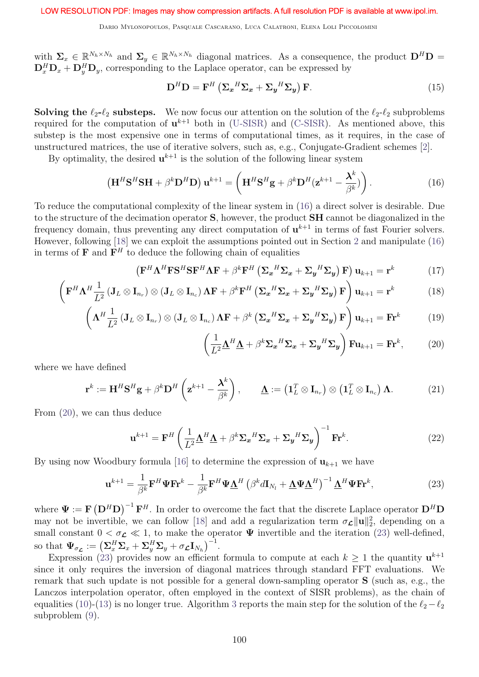Dario Mylonopoulos, Pasquale Cascarano, Luca Calatroni, Elena Loli Piccolomini

with  $\Sigma_x \in \mathbb{R}^{N_h \times N_h}$  and  $\Sigma_y \in \mathbb{R}^{N_h \times N_h}$  diagonal matrices. As a consequence, the product  $\mathbf{D}^H \mathbf{D} =$  $\mathbf{D}_x^H \mathbf{D}_x + \mathbf{D}_y^H \mathbf{D}_y$ , corresponding to the Laplace operator, can be expressed by

$$
\mathbf{D}^{H}\mathbf{D} = \mathbf{F}^{H} \left( \mathbf{\Sigma}_{x}^{H} \mathbf{\Sigma}_{x} + \mathbf{\Sigma}_{y}^{H} \mathbf{\Sigma}_{y} \right) \mathbf{F}.
$$
 (15)

**Solving the**  $\ell_2-\ell_2$  **substeps.** We now focus our attention on the solution of the  $\ell_2-\ell_2$  subproblems required for the computation of  $\mathbf{u}^{k+1}$  both in (U-SISR) and (C-SISR). As mentioned above, this substep is the most expensive one in terms of computational times, as it requires, in the case of unstructured matrices, the use of iterative solvers, such as, e.g., Conjugate-Gradient schemes [2].

By optimality, the desired  $\mathbf{u}^{k+1}$  is the solution of the following linear system

$$
\left(\mathbf{H}^H \mathbf{S}^H \mathbf{S} \mathbf{H} + \beta^k \mathbf{D}^H \mathbf{D}\right) \mathbf{u}^{k+1} = \left(\mathbf{H}^H \mathbf{S}^H \mathbf{g} + \beta^k \mathbf{D}^H (\mathbf{z}^{k+1} - \frac{\mathbf{\lambda}^k}{\beta^k})\right). \tag{16}
$$

To reduce the computational complexity of the linear system in (16) a direct solver is desirable. Due to the structure of the decimation operator S, however, the product SH cannot be diagonalized in the frequency domain, thus preventing any direct computation of  $\mathbf{u}^{k+1}$  in terms of fast Fourier solvers. However, following [18] we can exploit the assumptions pointed out in Section 2 and manipulate (16) in terms of **F** and  $\mathbf{F}^H$  to deduce the following chain of equalities

$$
\left(\mathbf{F}^{H}\mathbf{\Lambda}^{H}\mathbf{F}\mathbf{S}^{H}\mathbf{S}\mathbf{F}^{H}\mathbf{\Lambda}\mathbf{F} + \beta^{k}\mathbf{F}^{H}\left(\mathbf{\Sigma}_{x}^{H}\mathbf{\Sigma}_{x} + \mathbf{\Sigma}_{y}^{H}\mathbf{\Sigma}_{y}\right)\mathbf{F}\right)\mathbf{u}_{k+1} = \mathbf{r}^{k}
$$
\n(17)

$$
\left(\mathbf{F}^{H}\boldsymbol{\Lambda}^{H}\frac{1}{L^{2}}\left(\mathbf{J}_{L}\otimes\mathbf{I}_{n_{r}}\right)\otimes\left(\mathbf{J}_{L}\otimes\mathbf{I}_{n_{c}}\right)\boldsymbol{\Lambda}\mathbf{F}+\beta^{k}\mathbf{F}^{H}\left(\boldsymbol{\Sigma}_{\boldsymbol{x}}^{H}\boldsymbol{\Sigma}_{\boldsymbol{x}}+\boldsymbol{\Sigma}_{\boldsymbol{y}}^{H}\boldsymbol{\Sigma}_{\boldsymbol{y}}\right)\mathbf{F}\right)\mathbf{u}_{k+1}=\mathbf{r}^{k}
$$
\n(18)

$$
\left(\mathbf{\Lambda}^H \frac{1}{L^2} \left(\mathbf{J}_L \otimes \mathbf{I}_{n_r}\right) \otimes \left(\mathbf{J}_L \otimes \mathbf{I}_{n_c}\right) \mathbf{\Lambda} \mathbf{F} + \beta^k \left(\mathbf{\Sigma}_{\mathbf{x}}^H \mathbf{\Sigma}_{\mathbf{x}} + \mathbf{\Sigma}_{\mathbf{y}}^H \mathbf{\Sigma}_{\mathbf{y}}\right) \mathbf{F}\right) \mathbf{u}_{k+1} = \mathbf{F} \mathbf{r}^k \tag{19}
$$

$$
\left(\frac{1}{L^2}\Delta^H\Delta + \beta^k \Sigma_x{}^H\Sigma_x + \Sigma_y{}^H\Sigma_y\right) \mathbf{F} \mathbf{u}_{k+1} = \mathbf{F} \mathbf{r}^k, \tag{20}
$$

where we have defined

$$
\mathbf{r}^{k} := \mathbf{H}^{H} \mathbf{S}^{H} \mathbf{g} + \beta^{k} \mathbf{D}^{H} \left( \mathbf{z}^{k+1} - \frac{\mathbf{\lambda}^{k}}{\beta^{k}} \right), \qquad \underline{\mathbf{\Lambda}} := \left( \mathbf{1}_{L}^{T} \otimes \mathbf{I}_{n_{r}} \right) \otimes \left( \mathbf{1}_{L}^{T} \otimes \mathbf{I}_{n_{c}} \right) \mathbf{\Lambda}. \tag{21}
$$

From (20), we can thus deduce

$$
\mathbf{u}^{k+1} = \mathbf{F}^H \left( \frac{1}{L^2} \mathbf{\underline{\Lambda}}^H \mathbf{\underline{\Lambda}} + \beta^k \mathbf{\Sigma_x}^H \mathbf{\Sigma_x} + \mathbf{\Sigma_y}^H \mathbf{\Sigma_y} \right)^{-1} \mathbf{F} \mathbf{r}^k.
$$
 (22)

By using now Woodbury formula [16] to determine the expression of  $\mathbf{u}_{k+1}$  we have

$$
\mathbf{u}^{k+1} = \frac{1}{\beta^k} \mathbf{F}^H \mathbf{\Psi} \mathbf{F} \mathbf{r}^k - \frac{1}{\beta^k} \mathbf{F}^H \mathbf{\Psi} \underline{\mathbf{\Lambda}}^H \left( \beta^k d \mathbf{I}_{N_l} + \underline{\mathbf{\Lambda}} \mathbf{\Psi} \underline{\mathbf{\Lambda}}^H \right)^{-1} \underline{\mathbf{\Lambda}}^H \mathbf{\Psi} \mathbf{F} \mathbf{r}^k, \tag{23}
$$

where  $\Psi := \mathbf{F} (\mathbf{D}^H \mathbf{D})^{-1} \mathbf{F}^H$ . In order to overcome the fact that the discrete Laplace operator  $\mathbf{D}^H \mathbf{D}$ may not be invertible, we can follow [18] and add a regularization term  $\sigma_{\mathcal{L}}\|\mathbf{u}\|_2^2$ , depending on a small constant  $0 < \sigma_{\mathcal{L}} \ll 1$ , to make the operator  $\Psi$  invertible and the iteration (23) well-defined, so that  $\Psi_{\sigma_{\mathcal{L}}} := \left( \Sigma_x^H \Sigma_x + \Sigma_y^H \Sigma_y + \sigma_{\mathcal{L}} I_{N_h} \right)^{-1}$ .

Expression (23) provides now an efficient formula to compute at each  $k \geq 1$  the quantity  $\mathbf{u}^{k+1}$ since it only requires the inversion of diagonal matrices through standard FFT evaluations. We remark that such update is not possible for a general down-sampling operator S (such as, e.g., the Lanczos interpolation operator, often employed in the context of SISR problems), as the chain of equalities (10)-(13) is no longer true. Algorithm 3 reports the main step for the solution of the  $\ell_2-\ell_2$ subproblem (9).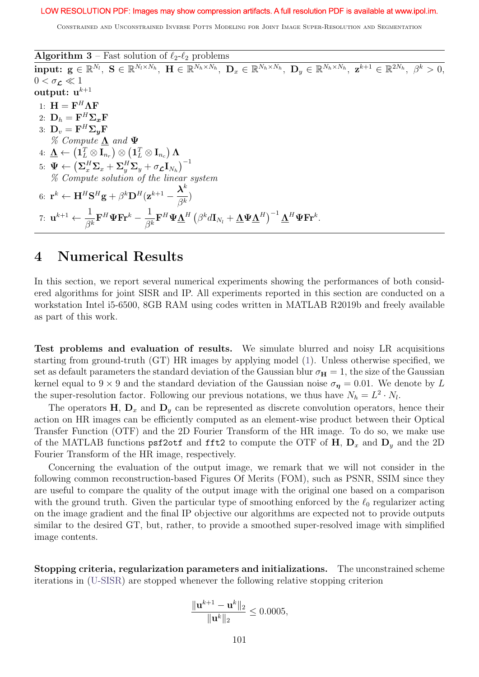Constrained and Unconstrained Inverse Potts Modeling for Joint Image Super-Resolution and Segmentation

**Algorithm 3** – Fast solution of  $\ell_2-\ell_2$  problems  $\textbf{input:}\enspace \textbf{g} \in \mathbb{R}^{N_l},\enspace \textbf{S} \in \mathbb{R}^{N_l\times N_h},\enspace \textbf{H} \in \mathbb{R}^{N_h\times N_h},\enspace \textbf{D}_x \in \mathbb{R}^{N_h\times N_h},\enspace \textbf{D}_y \in \mathbb{R}^{N_h\times N_h},\enspace \textbf{z}^{k+1} \in \mathbb{R}^{2N_h},\enspace \beta^k>0,$  $0 < \sigma_{\mathcal{L}} \ll 1$ output:  $u^{k+1}$ 1:  $H = F^H \Lambda F$ 2:  $\mathbf{D}_h = \mathbf{F}^H \mathbf{\Sigma}_{\bm{x}} \mathbf{F}$ 3:  $\mathbf{D}_v = \mathbf{F}^H \mathbf{\Sigma_y} \mathbf{F}$  $\%$  Compute  $\Lambda$  and  $\Psi$ 4:  $\mathbf{\underline{\Lambda}} \gets \left( \mathbf{1}_L^T \otimes \mathbf{I}_{n_r} \right) \otimes \left( \mathbf{1}_L^T \otimes \mathbf{I}_{n_c} \right) \mathbf{\Lambda}$  $5\colon\, \mathbf{\Psi} \leftarrow \left( \mathbf{\Sigma}_{x}^{H} \mathbf{\Sigma}_{x} + \mathbf{\Sigma}_{y}^{H} \mathbf{\Sigma}_{y} + \sigma_{\mathbf{\mathcal{L}}} \mathbf{I}_{N_{h}} \right)^{-1}$ % Compute solution of the linear system 6:  $\mathbf{r}^k \leftarrow \mathbf{H}^H \mathbf{S}^H \mathbf{g} + \beta^k \mathbf{D}^H (\mathbf{z}^{k+1} - \frac{\boldsymbol{\lambda}^k}{\alpha^k})$  $\frac{\lambda}{\beta^k}$ 7:  $\mathbf{u}^{k+1} \leftarrow \frac{1}{\alpha}$  $\frac{1}{\beta^k}{\bf F}^H {\bf \Psi}{\bf Fr}^k - \frac{1}{\beta^k}$  $\frac{1}{\beta^k}{\bf F}^H {\bf \Psi} \underline{\boldsymbol{\Lambda}}^H \left(\beta^k d{\bf I}_{N_l} + \underline{\boldsymbol{\Lambda}} {\bf \Psi} \underline{\boldsymbol{\Lambda}}^H\right)^{-1} \underline{\boldsymbol{\Lambda}}^H {\bf \Psi} {\bf Fr}^k.$ 

## 4 Numerical Results

In this section, we report several numerical experiments showing the performances of both considered algorithms for joint SISR and IP. All experiments reported in this section are conducted on a workstation Intel i5-6500, 8GB RAM using codes written in MATLAB R2019b and freely available as part of this work.

Test problems and evaluation of results. We simulate blurred and noisy LR acquisitions starting from ground-truth (GT) HR images by applying model (1). Unless otherwise specified, we set as default parameters the standard deviation of the Gaussian blur  $\sigma_{\mathbf{H}} = 1$ , the size of the Gaussian kernel equal to 9 × 9 and the standard deviation of the Gaussian noise  $\sigma_{\eta} = 0.01$ . We denote by L the super-resolution factor. Following our previous notations, we thus have  $N_h = L^2 \cdot N_l$ .

The operators  $H, D_x$  and  $D_y$  can be represented as discrete convolution operators, hence their action on HR images can be efficiently computed as an element-wise product between their Optical Transfer Function (OTF) and the 2D Fourier Transform of the HR image. To do so, we make use of the MATLAB functions psf2otf and fft2 to compute the OTF of  $H$ ,  $D_x$  and  $D_y$  and the 2D Fourier Transform of the HR image, respectively.

Concerning the evaluation of the output image, we remark that we will not consider in the following common reconstruction-based Figures Of Merits (FOM), such as PSNR, SSIM since they are useful to compare the quality of the output image with the original one based on a comparison with the ground truth. Given the particular type of smoothing enforced by the  $\ell_0$  regularizer acting on the image gradient and the final IP objective our algorithms are expected not to provide outputs similar to the desired GT, but, rather, to provide a smoothed super-resolved image with simplified image contents.

Stopping criteria, regularization parameters and initializations. The unconstrained scheme iterations in (U-SISR) are stopped whenever the following relative stopping criterion

$$
\frac{\|\mathbf{u}^{k+1} - \mathbf{u}^k\|_2}{\|\mathbf{u}^k\|_2} \le 0.0005,
$$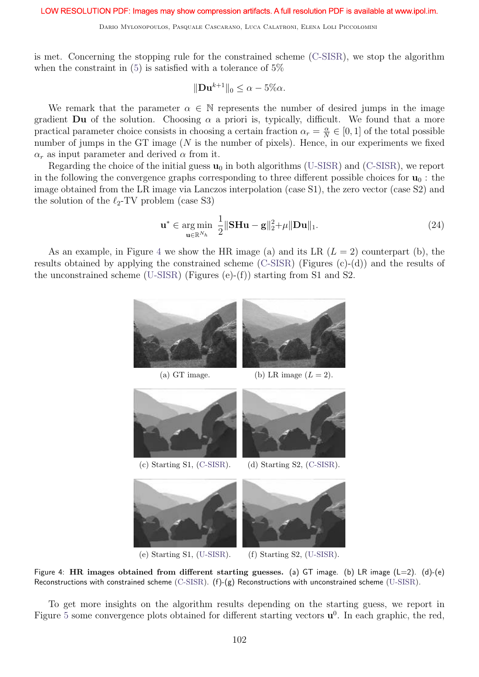is met. Concerning the stopping rule for the constrained scheme (C-SISR), we stop the algorithm when the constraint in  $(5)$  is satisfied with a tolerance of 5%

$$
\|\mathbf{D}\mathbf{u}^{k+1}\|_0 \leq \alpha - 5\% \alpha.
$$

We remark that the parameter  $\alpha \in \mathbb{N}$  represents the number of desired jumps in the image gradient **Du** of the solution. Choosing  $\alpha$  a priori is, typically, difficult. We found that a more practical parameter choice consists in choosing a certain fraction  $\alpha_r = \frac{\alpha}{N}$  $\frac{\alpha}{N} \in [0, 1]$  of the total possible number of jumps in the GT image  $(N$  is the number of pixels). Hence, in our experiments we fixed  $\alpha_r$  as input parameter and derived  $\alpha$  from it.

Regarding the choice of the initial guess  $\mathbf{u}_0$  in both algorithms (U-SISR) and (C-SISR), we report in the following the convergence graphs corresponding to three different possible choices for  $\mathbf{u}_0$ : the image obtained from the LR image via Lanczos interpolation (case S1), the zero vector (case S2) and the solution of the  $\ell_2$ -TV problem (case S3)

$$
\mathbf{u}^* \in \underset{\mathbf{u} \in \mathbb{R}^{N_h}}{\arg \min} \ \frac{1}{2} \|\mathbf{S} \mathbf{H} \mathbf{u} - \mathbf{g}\|_2^2 + \mu \|\mathbf{D} \mathbf{u}\|_1. \tag{24}
$$

As an example, in Figure 4 we show the HR image (a) and its LR  $(L = 2)$  counterpart (b), the results obtained by applying the constrained scheme (C-SISR) (Figures (c)-(d)) and the results of the unconstrained scheme (U-SISR) (Figures (e)-(f)) starting from S1 and S2.



Figure 4: HR images obtained from different starting guesses. (a) GT image. (b) LR image  $(L=2)$ . (d)-(e) Reconstructions with constrained scheme (C-SISR). (f)-(g) Reconstructions with unconstrained scheme (U-SISR).

To get more insights on the algorithm results depending on the starting guess, we report in Figure 5 some convergence plots obtained for different starting vectors  $\mathbf{u}^0$ . In each graphic, the red,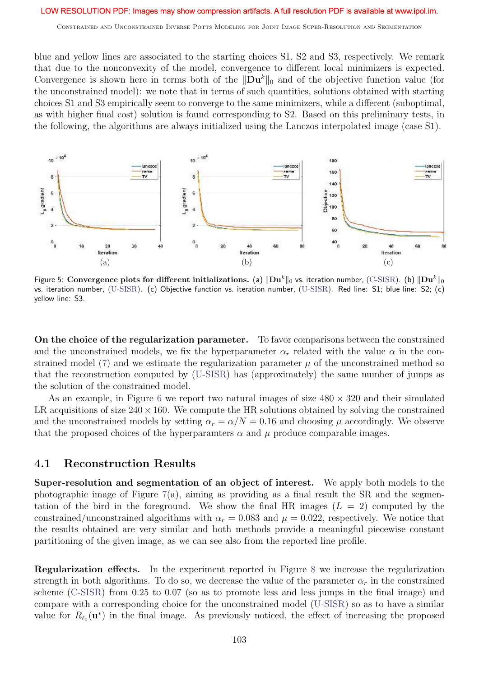Constrained and Unconstrained Inverse Potts Modeling for Joint Image Super-Resolution and Segmentation

blue and yellow lines are associated to the starting choices S1, S2 and S3, respectively. We remark that due to the nonconvexity of the model, convergence to different local minimizers is expected. Convergence is shown here in terms both of the  $\|\mathbf{D}\mathbf{u}^k\|_0$  and of the objective function value (for the unconstrained model): we note that in terms of such quantities, solutions obtained with starting choices S1 and S3 empirically seem to converge to the same minimizers, while a different (suboptimal, as with higher final cost) solution is found corresponding to S2. Based on this preliminary tests, in the following, the algorithms are always initialized using the Lanczos interpolated image (case S1).



Figure 5: Convergence plots for different initializations. (a)  $\|\mathbf{D}\mathbf{u}^k\|_0$  vs. iteration number, (C-SISR). (b)  $\|\mathbf{D}\mathbf{u}^k\|_0$ vs. iteration number, (U-SISR). (c) Objective function vs. iteration number, (U-SISR). Red line: S1; blue line: S2; (c) yellow line: S3.

On the choice of the regularization parameter. To favor comparisons between the constrained and the unconstrained models, we fix the hyperparameter  $\alpha_r$  related with the value  $\alpha$  in the constrained model (7) and we estimate the regularization parameter  $\mu$  of the unconstrained method so that the reconstruction computed by (U-SISR) has (approximately) the same number of jumps as the solution of the constrained model.

As an example, in Figure 6 we report two natural images of size  $480 \times 320$  and their simulated LR acquisitions of size  $240 \times 160$ . We compute the HR solutions obtained by solving the constrained and the unconstrained models by setting  $\alpha_r = \alpha/N = 0.16$  and choosing  $\mu$  accordingly. We observe that the proposed choices of the hyperparamters  $\alpha$  and  $\mu$  produce comparable images.

## 4.1 Reconstruction Results

Super-resolution and segmentation of an object of interest. We apply both models to the photographic image of Figure  $7(a)$ , aiming as providing as a final result the SR and the segmentation of the bird in the foreground. We show the final HR images  $(L = 2)$  computed by the constrained/unconstrained algorithms with  $\alpha_r = 0.083$  and  $\mu = 0.022$ , respectively. We notice that the results obtained are very similar and both methods provide a meaningful piecewise constant partitioning of the given image, as we can see also from the reported line profile.

Regularization effects. In the experiment reported in Figure 8 we increase the regularization strength in both algorithms. To do so, we decrease the value of the parameter  $\alpha_r$  in the constrained scheme (C-SISR) from 0.25 to 0.07 (so as to promote less and less jumps in the final image) and compare with a corresponding choice for the unconstrained model (U-SISR) so as to have a similar value for  $R_{\ell_0}(\mathbf{u}^*)$  in the final image. As previously noticed, the effect of increasing the proposed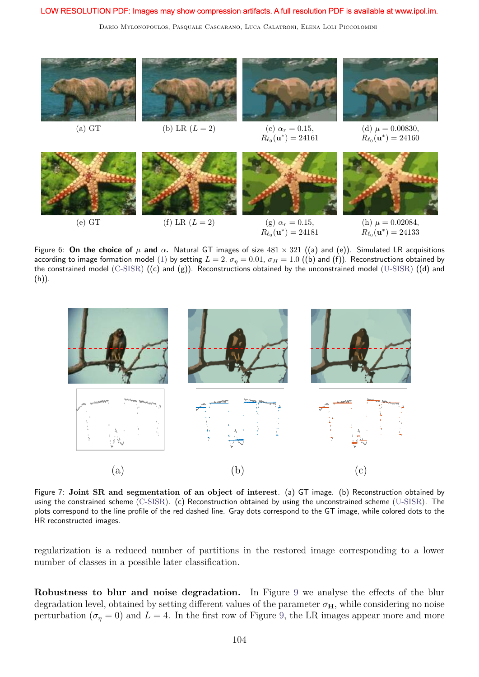Dario Mylonopoulos, Pasquale Cascarano, Luca Calatroni, Elena Loli Piccolomini



Figure 6: On the choice of  $\mu$  and  $\alpha$ . Natural GT images of size  $481 \times 321$  ((a) and (e)). Simulated LR acquisitions according to image formation model (1) by setting  $L = 2$ ,  $\sigma_{\eta} = 0.01$ ,  $\sigma_H = 1.0$  ((b) and (f)). Reconstructions obtained by the constrained model (C-SISR)  $((c)$  and  $(g)$ ). Reconstructions obtained by the unconstrained model (U-SISR)  $((d)$  and  $(h)$ ).



Figure 7: Joint SR and segmentation of an object of interest. (a) GT image. (b) Reconstruction obtained by using the constrained scheme (C-SISR). (c) Reconstruction obtained by using the unconstrained scheme (U-SISR). The plots correspond to the line profile of the red dashed line. Gray dots correspond to the GT image, while colored dots to the HR reconstructed images.

regularization is a reduced number of partitions in the restored image corresponding to a lower number of classes in a possible later classification.

Robustness to blur and noise degradation. In Figure 9 we analyse the effects of the blur degradation level, obtained by setting different values of the parameter  $\sigma_{\text{H}}$ , while considering no noise perturbation ( $\sigma_n = 0$ ) and  $L = 4$ . In the first row of Figure 9, the LR images appear more and more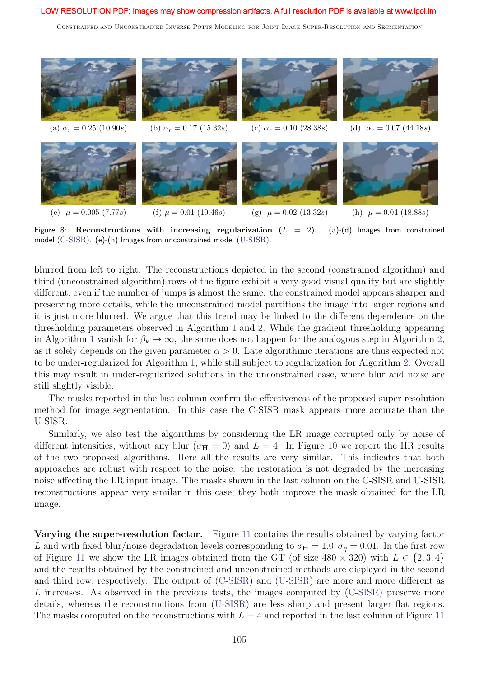Constrained and Unconstrained Inverse Potts Modeling for Joint Image Super-Resolution and Segmentation



Figure 8: Reconstructions with increasing regularization  $(L = 2)$ . (a)-(d) Images from constrained model (C-SISR). (e)-(h) Images from unconstrained model (U-SISR).

blurred from left to right. The reconstructions depicted in the second (constrained algorithm) and third (unconstrained algorithm) rows of the figure exhibit a very good visual quality but are slightly different, even if the number of jumps is almost the same: the constrained model appears sharper and preserving more details, while the unconstrained model partitions the image into larger regions and it is just more blurred. We argue that this trend may be linked to the different dependence on the thresholding parameters observed in Algorithm 1 and 2. While the gradient thresholding appearing in Algorithm 1 vanish for  $\beta_k \to \infty$ , the same does not happen for the analogous step in Algorithm 2, as it solely depends on the given parameter  $\alpha > 0$ . Late algorithmic iterations are thus expected not to be under-regularized for Algorithm 1, while still subject to regularization for Algorithm 2. Overall this may result in under-regularized solutions in the unconstrained case, where blur and noise are still slightly visible.

The masks reported in the last column confirm the effectiveness of the proposed super resolution method for image segmentation. In this case the C-SISR mask appears more accurate than the U-SISR.

Similarly, we also test the algorithms by considering the LR image corrupted only by noise of different intensities, without any blur ( $\sigma_{\text{H}} = 0$ ) and  $L = 4$ . In Figure 10 we report the HR results of the two proposed algorithms. Here all the results are very similar. This indicates that both approaches are robust with respect to the noise: the restoration is not degraded by the increasing noise affecting the LR input image. The masks shown in the last column on the C-SISR and U-SISR reconstructions appear very similar in this case; they both improve the mask obtained for the LR image.

Varying the super-resolution factor. Figure 11 contains the results obtained by varying factor L and with fixed blur/noise degradation levels corresponding to  $\sigma_{\text{H}} = 1.0, \sigma_{\eta} = 0.01$ . In the first row of Figure 11 we show the LR images obtained from the GT (of size  $480 \times 320$ ) with  $L \in \{2, 3, 4\}$ and the results obtained by the constrained and unconstrained methods are displayed in the second and third row, respectively. The output of (C-SISR) and (U-SISR) are more and more different as L increases. As observed in the previous tests, the images computed by (C-SISR) preserve more details, whereas the reconstructions from (U-SISR) are less sharp and present larger flat regions. The masks computed on the reconstructions with  $L = 4$  and reported in the last column of Figure 11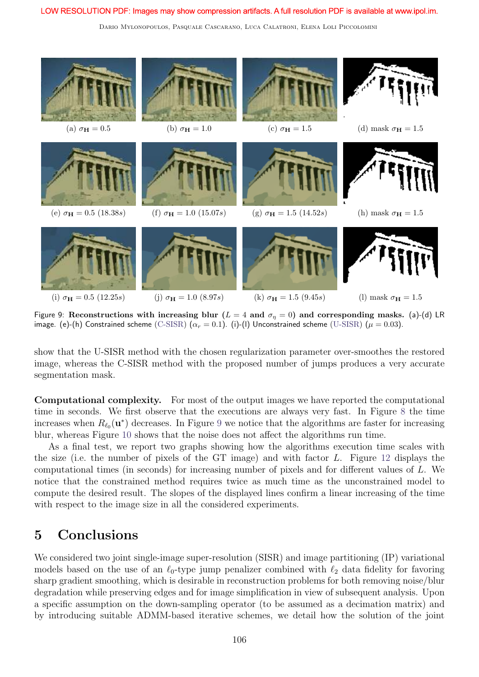Dario Mylonopoulos, Pasquale Cascarano, Luca Calatroni, Elena Loli Piccolomini



Figure 9: Reconstructions with increasing blur ( $L = 4$  and  $\sigma_{\eta} = 0$ ) and corresponding masks. (a)-(d) LR image. (e)-(h) Constrained scheme (C-SISR)  $(\alpha_r = 0.1)$ . (i)-(l) Unconstrained scheme (U-SISR)  $(\mu = 0.03)$ .

show that the U-SISR method with the chosen regularization parameter over-smoothes the restored image, whereas the C-SISR method with the proposed number of jumps produces a very accurate segmentation mask.

Computational complexity. For most of the output images we have reported the computational time in seconds. We first observe that the executions are always very fast. In Figure 8 the time increases when  $R_{\ell_0}(\mathbf{u}^*)$  decreases. In Figure 9 we notice that the algorithms are faster for increasing blur, whereas Figure 10 shows that the noise does not affect the algorithms run time.

As a final test, we report two graphs showing how the algorithms execution time scales with the size (i.e. the number of pixels of the GT image) and with factor L. Figure 12 displays the computational times (in seconds) for increasing number of pixels and for different values of L. We notice that the constrained method requires twice as much time as the unconstrained model to compute the desired result. The slopes of the displayed lines confirm a linear increasing of the time with respect to the image size in all the considered experiments.

# 5 Conclusions

We considered two joint single-image super-resolution (SISR) and image partitioning (IP) variational models based on the use of an  $\ell_0$ -type jump penalizer combined with  $\ell_2$  data fidelity for favoring sharp gradient smoothing, which is desirable in reconstruction problems for both removing noise/blur degradation while preserving edges and for image simplification in view of subsequent analysis. Upon a specific assumption on the down-sampling operator (to be assumed as a decimation matrix) and by introducing suitable ADMM-based iterative schemes, we detail how the solution of the joint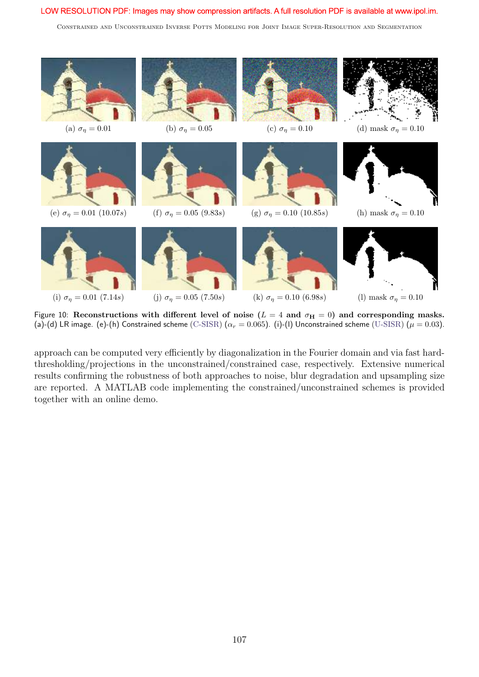Constrained and Unconstrained Inverse Potts Modeling for Joint Image Super-Resolution and Segmentation



Figure 10: Reconstructions with different level of noise ( $L = 4$  and  $\sigma_H = 0$ ) and corresponding masks. (a)-(d) LR image. (e)-(h) Constrained scheme (C-SISR) ( $\alpha_r = 0.065$ ). (i)-(l) Unconstrained scheme (U-SISR) ( $\mu = 0.03$ ).

approach can be computed very efficiently by diagonalization in the Fourier domain and via fast hardthresholding/projections in the unconstrained/constrained case, respectively. Extensive numerical results confirming the robustness of both approaches to noise, blur degradation and upsampling size are reported. A MATLAB code implementing the constrained/unconstrained schemes is provided together with an online demo.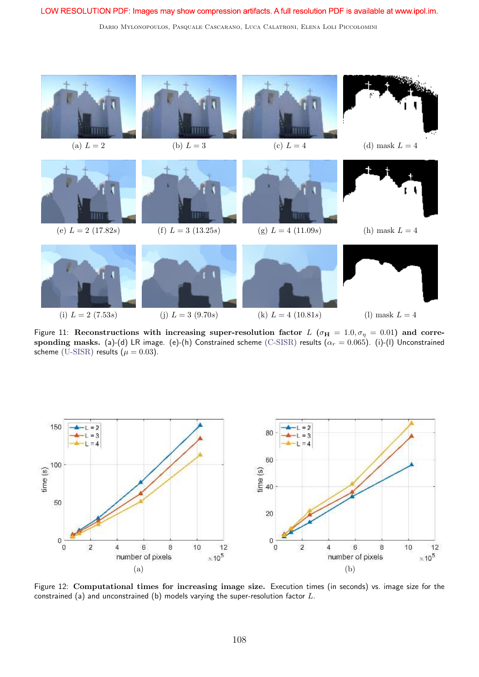Dario Mylonopoulos, Pasquale Cascarano, Luca Calatroni, Elena Loli Piccolomini



Figure 11: Reconstructions with increasing super-resolution factor  $L$  ( $\sigma_{\bf H}=1.0, \sigma_{\eta}=0.01)$  and corre- $\bf{sponding\; massks.}$  (a)-(d) LR image. (e)-(h) Constrained scheme  $\rm(C\text{-}SISR)$  results  $(\alpha_r=0.065)$ . (i)-(l) Unconstrained scheme (U-SISR) results ( $\mu = 0.03$ ).



Figure 12: Computational times for increasing image size. Execution times (in seconds) vs. image size for the constrained (a) and unconstrained (b) models varying the super-resolution factor L.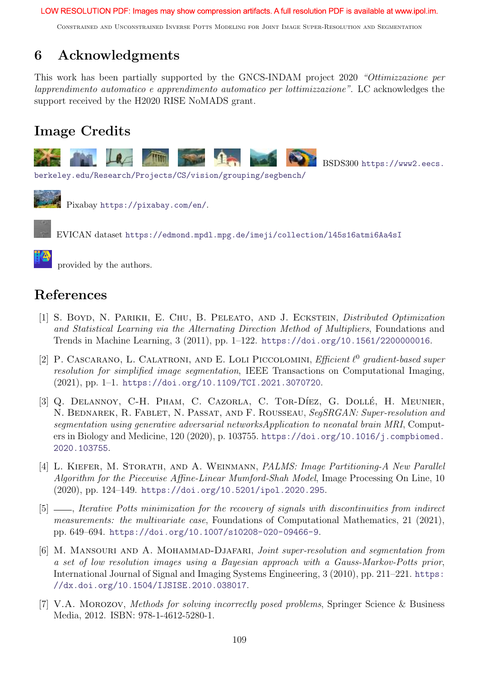Constrained and Unconstrained Inverse Potts Modeling for Joint Image Super-Resolution and Segmentation

# 6 Acknowledgments

This work has been partially supported by the GNCS-INDAM project 2020 "Ottimizzazione per lapprendimento automatico e apprendimento automatico per lottimizzazione". LC acknowledges the support received by the H2020 RISE NoMADS grant.

# Image Credits



BSDS300 https://www2.eecs.

berkeley.edu/Research/Projects/CS/vision/grouping/segbench/



Pixabay https://pixabay.com/en/.

EVICAN dataset https://edmond.mpdl.mpg.de/imeji/collection/l45s16atmi6Aa4sI

provided by the authors.

# References

- [1] S. Boyd, N. Parikh, E. Chu, B. Peleato, and J. Eckstein, Distributed Optimization and Statistical Learning via the Alternating Direction Method of Multipliers, Foundations and Trends in Machine Learning, 3 (2011), pp. 1–122. https://doi.org/10.1561/2200000016.
- [2] P. CASCARANO, L. CALATRONI, AND E. LOLI PICCOLOMINI, Efficient  $\ell^0$  gradient-based super resolution for simplified image segmentation, IEEE Transactions on Computational Imaging, (2021), pp. 1–1. https://doi.org/10.1109/TCI.2021.3070720.
- [3] Q. DELANNOY, C-H. PHAM, C. CAZORLA, C. TOR-DÍEZ, G. DOLLÉ, H. MEUNIER, N. BEDNAREK, R. FABLET, N. PASSAT, AND F. ROUSSEAU, SegSRGAN: Super-resolution and segmentation using generative adversarial networksApplication to neonatal brain MRI, Computers in Biology and Medicine, 120 (2020), p. 103755. https://doi.org/10.1016/j.compbiomed. 2020.103755.
- [4] L. KIEFER, M. STORATH, AND A. WEINMANN, *PALMS: Image Partitioning-A New Parallel* Algorithm for the Piecewise Affine-Linear Mumford-Shah Model, Image Processing On Line, 10 (2020), pp. 124–149. https://doi.org/10.5201/ipol.2020.295.
- [5]  $\frac{1}{10}$ , Iterative Potts minimization for the recovery of signals with discontinuities from indirect measurements: the multivariate case, Foundations of Computational Mathematics, 21 (2021), pp. 649–694. https://doi.org/10.1007/s10208-020-09466-9.
- [6] M. MANSOURI AND A. MOHAMMAD-DJAFARI, Joint super-resolution and segmentation from a set of low resolution images using a Bayesian approach with a Gauss-Markov-Potts prior, International Journal of Signal and Imaging Systems Engineering, 3 (2010), pp. 211–221. https: //dx.doi.org/10.1504/IJSISE.2010.038017.
- [7] V.A. Morozov, Methods for solving incorrectly posed problems, Springer Science & Business Media, 2012. ISBN: 978-1-4612-5280-1.